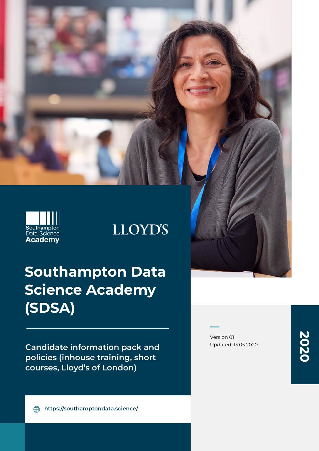

# **LLOYD'S**

# **Southampton Data Science Academy (SDSA)**

**Candidate information pack and policies (inhouse training, short courses, Lloyd's of London)**

Version 01 Updated: 15.05.2020 **2020**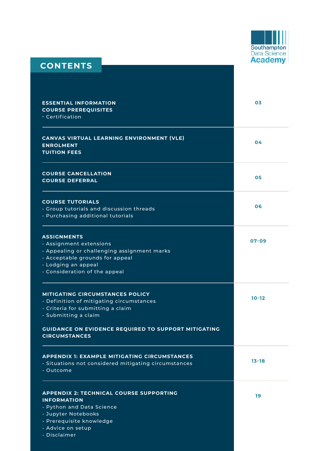

### **CONTENTS**

| <b>ESSENTIAL INFORMATION</b><br><b>COURSE PREREQUISITES</b><br>- Certification                                                                                                                                                        | 03        |
|---------------------------------------------------------------------------------------------------------------------------------------------------------------------------------------------------------------------------------------|-----------|
| CANVAS VIRTUAL LEARNING ENVIRONMENT (VLE)<br><b>ENROLMENT</b><br><b>TUITION FEES</b>                                                                                                                                                  | 04        |
| <b>COURSE CANCELLATION</b><br><b>COURSE DEFERRAL</b>                                                                                                                                                                                  | 05        |
| <b>COURSE TUTORIALS</b><br>- Group tutorials and discussion threads<br>- Purchasing additional tutorials                                                                                                                              | 06        |
| <b>ASSIGNMENTS</b><br>- Assignment extensions<br>- Appealing or challenging assignment marks<br>- Acceptable grounds for appeal<br>- Lodging an appeal<br>- Consideration of the appeal                                               | $07 - 09$ |
| <b>MITIGATING CIRCUMSTANCES POLICY</b><br>- Definition of mitigating circumstances<br>- Criteria for submitting a claim<br>- Submitting a claim<br><b>GUIDANCE ON EVIDENCE REQUIRED TO SUPPORT MITIGATING</b><br><b>CIRCUMSTANCES</b> | $10 - 12$ |
| <b>APPENDIX 1: EXAMPLE MITIGATING CIRCUMSTANCES</b><br>- Situations not considered mitigating circumstances<br>- Outcome                                                                                                              | $13 - 18$ |
| <b>APPENDIX 2: TECHNICAL COURSE SUPPORTING</b><br><b>INFORMATION</b><br>- Python and Data Science<br>- Jupyter Notebooks<br>- Prerequisite knowledge<br>- Advice on setup<br>- Disclaimer                                             | 19        |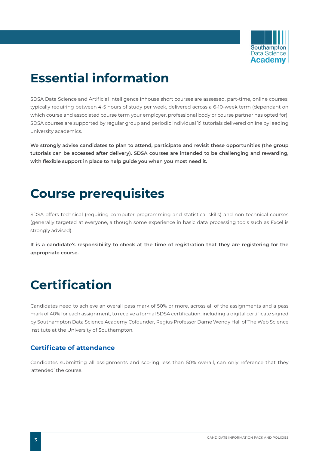

# **Essential information**

SDSA Data Science and Artificial intelligence inhouse short courses are assessed, part-time, online courses, typically requiring between 4-5 hours of study per week, delivered across a 6-10-week term (dependant on which course and associated course term your employer, professional body or course partner has opted for). SDSA courses are supported by regular group and periodic individual 1:1 tutorials delivered online by leading university academics.

**We strongly advise candidates to plan to attend, participate and revisit these opportunities (the group tutorials can be accessed after delivery). SDSA courses are intended to be challenging and rewarding, with flexible support in place to help guide you when you most need it.**

# **Course prerequisites**

SDSA offers technical (requiring computer programming and statistical skills) and non-technical courses (generally targeted at everyone, although some experience in basic data processing tools such as Excel is strongly advised).

**It is a candidate's responsibility to check at the time of registration that they are registering for the appropriate course.**

# **Certification**

Candidates need to achieve an overall pass mark of 50% or more, across all of the assignments and a pass mark of 40% for each assignment, to receive a formal SDSA certification, including a digital certificate signed by Southampton Data Science Academy Cofounder, Regius Professor Dame Wendy Hall of The Web Science Institute at the University of Southampton.

### **Certificate of attendance**

Candidates submitting all assignments and scoring less than 50% overall, can only reference that they 'attended' the course.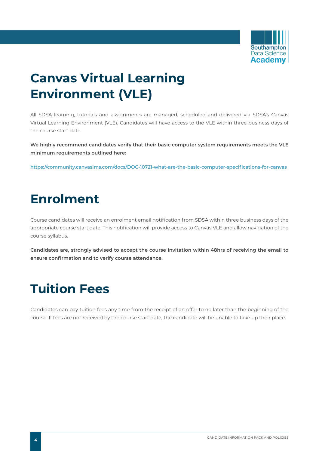

# **Canvas Virtual Learning Environment (VLE)**

All SDSA learning, tutorials and assignments are managed, scheduled and delivered via SDSA's Canvas Virtual Learning Environment (VLE). Candidates will have access to the VLE within three business days of the course start date.

**We highly recommend candidates verify that their basic computer system requirements meets the VLE minimum requirements outlined here:**

**<https://community.canvaslms.com/docs/DOC-10721-what-are-the-basic-computer-specifications-for-canvas>**

# **Enrolment**

Course candidates will receive an enrolment email notification from SDSA within three business days of the appropriate course start date. This notification will provide access to Canvas VLE and allow navigation of the course syllabus.

**Candidates are, strongly advised to accept the course invitation within 48hrs of receiving the email to ensure confirmation and to verify course attendance.**

# **Tuition Fees**

Candidates can pay tuition fees any time from the receipt of an offer to no later than the beginning of the course. If fees are not received by the course start date, the candidate will be unable to take up their place.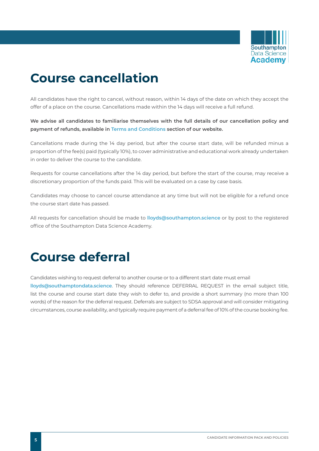

# **Course cancellation**

All candidates have the right to cancel, without reason, within 14 days of the date on which they accept the offer of a place on the course. Cancellations made within the 14 days will receive a full refund.

**We advise all candidates to familiarise themselves with the full details of our cancellation policy and payment of refunds, available in [Terms and Conditions](https://southamptondata.science/terms-and-conditions.htm) section of our website.**

Cancellations made during the 14 day period, but after the course start date, will be refunded minus a proportion of the fee(s) paid (typically 10%), to cover administrative and educational work already undertaken in order to deliver the course to the candidate.

Requests for course cancellations after the 14 day period, but before the start of the course, may receive a discretionary proportion of the funds paid. This will be evaluated on a case by case basis.

Candidates may choose to cancel course attendance at any time but will not be eligible for a refund once the course start date has passed.

All requests for cancellation should be made to **[lloyds@southampton.science](mailto:lloyds%40southampton.science?subject=)** or by post to the registered office of the Southampton Data Science Academy.

# **Course deferral**

Candidates wishing to request deferral to another course or to a different start date must email **[lloyds@southamptondata.science](mailto:lloyds%40southamptondata.science?subject=)**. They should reference DEFERRAL REQUEST in the email subject title, list the course and course start date they wish to defer to, and provide a short summary (no more than 100 words) of the reason for the deferral request. Deferrals are subject to SDSA approval and will consider mitigating circumstances, course availability, and typically require payment of a deferral fee of 10% of the course booking fee.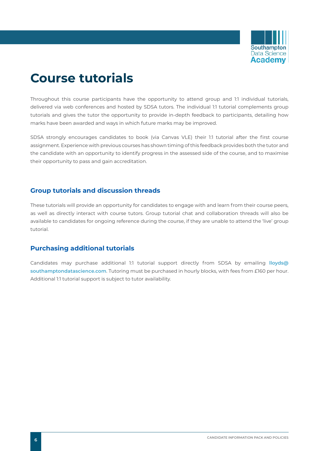

# **Course tutorials**

Throughout this course participants have the opportunity to attend group and 1:1 individual tutorials, delivered via web conferences and hosted by SDSA tutors. The individual 1:1 tutorial complements group tutorials and gives the tutor the opportunity to provide in-depth feedback to participants, detailing how marks have been awarded and ways in which future marks may be improved.

SDSA strongly encourages candidates to book (via Canvas VLE) their 1:1 tutorial after the first course assignment. Experience with previous courses has shown timing of this feedback provides both the tutor and the candidate with an opportunity to identify progress in the assessed side of the course, and to maximise their opportunity to pass and gain accreditation.

#### **Group tutorials and discussion threads**

These tutorials will provide an opportunity for candidates to engage with and learn from their course peers, as well as directly interact with course tutors. Group tutorial chat and collaboration threads will also be available to candidates for ongoing reference during the course, if they are unable to attend the 'live' group tutorial.

### **Purchasing additional tutorials**

Candidates may purchase additional 1:1 tutorial support directly from SDSA by emailing **[lloyds@](mailto:lloyds%40southamptondatascience.com?subject=) [southamptondatascience.com](mailto:lloyds%40southamptondatascience.com?subject=)**. Tutoring must be purchased in hourly blocks, with fees from £160 per hour. Additional 1:1 tutorial support is subject to tutor availability.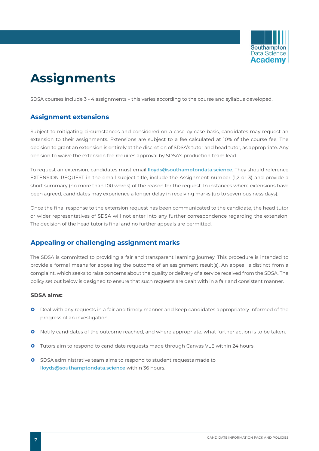

# **Assignments**

SDSA courses include 3 - 4 assignments – this varies according to the course and syllabus developed.

### **Assignment extensions**

Subject to mitigating circumstances and considered on a case-by-case basis, candidates may request an extension to their assignments. Extensions are subject to a fee calculated at 10% of the course fee. The decision to grant an extension is entirely at the discretion of SDSA's tutor and head tutor, as appropriate. Any decision to waive the extension fee requires approval by SDSA's production team lead.

To request an extension, candidates must email **lloyds@southamptondata.science**. They should reference EXTENSION REQUEST in the email subject title, include the Assignment number (1,2 or 3) and provide a short summary (no more than 100 words) of the reason for the request. In instances where extensions have been agreed, candidates may experience a longer delay in receiving marks (up to seven business days).

Once the final response to the extension request has been communicated to the candidate, the head tutor or wider representatives of SDSA will not enter into any further correspondence regarding the extension. The decision of the head tutor is final and no further appeals are permitted.

### **Appealing or challenging assignment marks**

The SDSA is committed to providing a fair and transparent learning journey. This procedure is intended to provide a formal means for appealing the outcome of an assignment result(s). An appeal is distinct from a complaint, which seeks to raise concerns about the quality or delivery of a service received from the SDSA. The policy set out below is designed to ensure that such requests are dealt with in a fair and consistent manner.

#### **SDSA aims:**

- **O** Deal with any requests in a fair and timely manner and keep candidates appropriately informed of the progress of an investigation.
- **O** Notify candidates of the outcome reached, and where appropriate, what further action is to be taken.
- **O** Tutors aim to respond to candidate requests made through Canvas VLE within 24 hours.
- **O** SDSA administrative team aims to respond to student requests made to **[lloyds@southamptondata.science](mailto:lloyds%40southamptondata.science?subject=)** within 36 hours.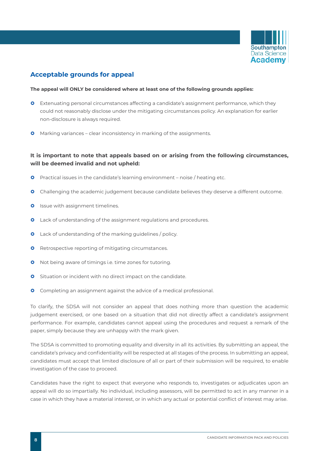

### **Acceptable grounds for appeal**

#### **The appeal will ONLY be considered where at least one of the following grounds applies:**

- **O** Extenuating personal circumstances affecting a candidate's assignment performance, which they could not reasonably disclose under the mitigating circumstances policy. An explanation for earlier non-disclosure is always required.
- **O** Marking variances clear inconsistency in marking of the assignments.

#### **It is important to note that appeals based on or arising from the following circumstances, will be deemed invalid and not upheld:**

- **O** Practical issues in the candidate's learning environment noise / heating etc.
- **O** Challenging the academic judgement because candidate believes they deserve a different outcome.
- **O** Issue with assignment timelines.
- **O** Lack of understanding of the assignment regulations and procedures.
- **O** Lack of understanding of the marking guidelines / policy.
- **O** Retrospective reporting of mitigating circumstances.
- **O** Not being aware of timings i.e. time zones for tutoring.
- **O** Situation or incident with no direct impact on the candidate.
- **O** Completing an assignment against the advice of a medical professional.

To clarify, the SDSA will not consider an appeal that does nothing more than question the academic judgement exercised, or one based on a situation that did not directly affect a candidate's assignment performance. For example, candidates cannot appeal using the procedures and request a remark of the paper, simply because they are unhappy with the mark given.

The SDSA is committed to promoting equality and diversity in all its activities. By submitting an appeal, the candidate's privacy and confidentiality will be respected at all stages of the process. In submitting an appeal, candidates must accept that limited disclosure of all or part of their submission will be required, to enable investigation of the case to proceed.

Candidates have the right to expect that everyone who responds to, investigates or adjudicates upon an appeal will do so impartially. No individual, including assessors, will be permitted to act in any manner in a case in which they have a material interest, or in which any actual or potential conflict of interest may arise.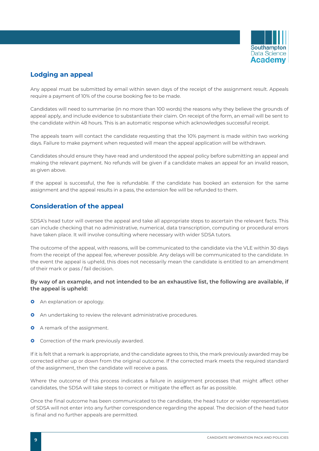

### **Lodging an appeal**

Any appeal must be submitted by email within seven days of the receipt of the assignment result. Appeals require a payment of 10% of the course booking fee to be made.

Candidates will need to summarise (in no more than 100 words) the reasons why they believe the grounds of appeal apply, and include evidence to substantiate their claim. On receipt of the form, an email will be sent to the candidate within 48 hours. This is an automatic response which acknowledges successful receipt.

The appeals team will contact the candidate requesting that the 10% payment is made within two working days. Failure to make payment when requested will mean the appeal application will be withdrawn.

Candidates should ensure they have read and understood the appeal policy before submitting an appeal and making the relevant payment. No refunds will be given if a candidate makes an appeal for an invalid reason, as given above.

If the appeal is successful, the fee is refundable. If the candidate has booked an extension for the same assignment and the appeal results in a pass, the extension fee will be refunded to them.

### **Consideration of the appeal**

SDSA's head tutor will oversee the appeal and take all appropriate steps to ascertain the relevant facts. This can include checking that no administrative, numerical, data transcription, computing or procedural errors have taken place. It will involve consulting where necessary with wider SDSA tutors.

The outcome of the appeal, with reasons, will be communicated to the candidate via the VLE within 30 days from the receipt of the appeal fee, wherever possible. Any delays will be communicated to the candidate. In the event the appeal is upheld, this does not necessarily mean the candidate is entitled to an amendment of their mark or pass / fail decision.

#### **By way of an example, and not intended to be an exhaustive list, the following are available, if the appeal is upheld:**

- **O** An explanation or apology.
- **O** An undertaking to review the relevant administrative procedures.
- **O** A remark of the assignment.
- **O** Correction of the mark previously awarded.

If it is felt that a remark is appropriate, and the candidate agrees to this, the mark previously awarded may be corrected either up or down from the original outcome. If the corrected mark meets the required standard of the assignment, then the candidate will receive a pass.

Where the outcome of this process indicates a failure in assignment processes that might affect other candidates, the SDSA will take steps to correct or mitigate the effect as far as possible.

Once the final outcome has been communicated to the candidate, the head tutor or wider representatives of SDSA will not enter into any further correspondence regarding the appeal. The decision of the head tutor is final and no further appeals are permitted.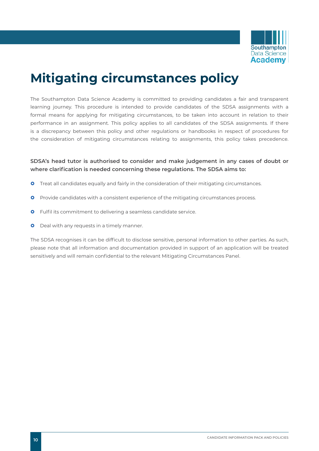

# **Mitigating circumstances policy**

The Southampton Data Science Academy is committed to providing candidates a fair and transparent learning journey. This procedure is intended to provide candidates of the SDSA assignments with a formal means for applying for mitigating circumstances, to be taken into account in relation to their performance in an assignment. This policy applies to all candidates of the SDSA assignments. If there is a discrepancy between this policy and other regulations or handbooks in respect of procedures for the consideration of mitigating circumstances relating to assignments, this policy takes precedence.

#### **SDSA's head tutor is authorised to consider and make judgement in any cases of doubt or where clarification is needed concerning these regulations. The SDSA aims to:**

- **O** Treat all candidates equally and fairly in the consideration of their mitigating circumstances.
- **O** Provide candidates with a consistent experience of the mitigating circumstances process.
- **O** Fulfil its commitment to delivering a seamless candidate service.
- **O** Deal with any requests in a timely manner.

The SDSA recognises it can be difficult to disclose sensitive, personal information to other parties. As such, please note that all information and documentation provided in support of an application will be treated sensitively and will remain confidential to the relevant Mitigating Circumstances Panel.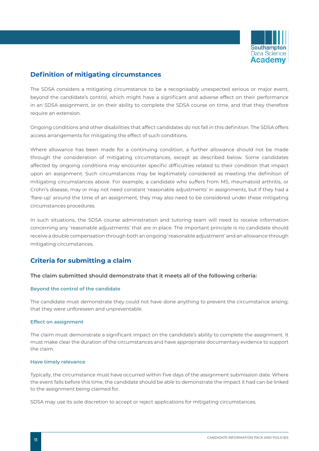

### **Definition of mitigating circumstances**

The SDSA considers a mitigating circumstance to be a recognisably unexpected serious or major event, beyond the candidate's control, which might have a significant and adverse effect on their performance in an SDSA assignment, or on their ability to complete the SDSA course on time, and that they therefore require an extension.

Ongoing conditions and other disabilities that affect candidates do not fall in this definition. The SDSA offers access arrangements for mitigating the effect of such conditions.

Where allowance has been made for a continuing condition, a further allowance should not be made through the consideration of mitigating circumstances, except as described below. Some candidates affected by ongoing conditions may encounter specific difficulties related to their condition that impact upon an assignment. Such circumstances may be legitimately considered as meeting the definition of mitigating circumstances above. For example, a candidate who suffers from MS, rheumatoid arthritis, or Crohn's disease, may or may not need constant 'reasonable adjustments' in assignments, but if they had a 'flare-up' around the time of an assignment, they may also need to be considered under these mitigating circumstances procedures.

In such situations, the SDSA course administration and tutoring team will need to receive information concerning any 'reasonable adjustments' that are in place. The important principle is no candidate should receive a double compensation through both an ongoing 'reasonable adjustment' and an allowance through mitigating circumstances.

### **Criteria for submitting a claim**

#### **The claim submitted should demonstrate that it meets all of the following criteria:**

#### **Beyond the control of the candidate**

The candidate must demonstrate they could not have done anything to prevent the circumstance arising; that they were unforeseen and unpreventable.

#### **Effect on assignment**

The claim must demonstrate a significant impact on the candidate's ability to complete the assignment. It must make clear the duration of the circumstances and have appropriate documentary evidence to support the claim.

#### **Have timely relevance**

Typically, the circumstance must have occurred within five days of the assignment submission date. Where the event falls before this time, the candidate should be able to demonstrate the impact it had can be linked to the assignment being claimed for.

SDSA may use its sole discretion to accept or reject applications for mitigating circumstances.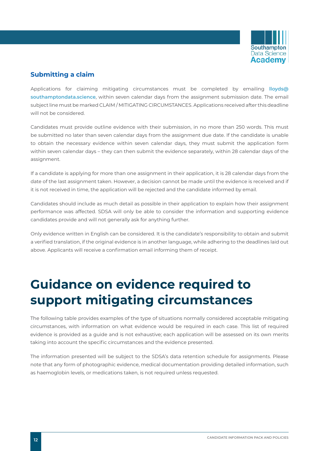

### **Submitting a claim**

Applications for claiming mitigating circumstances must be completed by emailing **[lloyds@](mailto:lloyds%40southamptondata.science?subject=) [southamptondata.science](mailto:lloyds%40southamptondata.science?subject=)**, within seven calendar days from the assignment submission date. The email subject line must be marked CLAIM / MITIGATING CIRCUMSTANCES. Applications received after this deadline will not be considered.

Candidates must provide outline evidence with their submission, in no more than 250 words. This must be submitted no later than seven calendar days from the assignment due date. If the candidate is unable to obtain the necessary evidence within seven calendar days, they must submit the application form within seven calendar days – they can then submit the evidence separately, within 28 calendar days of the assignment.

If a candidate is applying for more than one assignment in their application, it is 28 calendar days from the date of the last assignment taken. However, a decision cannot be made until the evidence is received and if it is not received in time, the application will be rejected and the candidate informed by email.

Candidates should include as much detail as possible in their application to explain how their assignment performance was affected. SDSA will only be able to consider the information and supporting evidence candidates provide and will not generally ask for anything further.

Only evidence written in English can be considered. It is the candidate's responsibility to obtain and submit a verified translation, if the original evidence is in another language, while adhering to the deadlines laid out above. Applicants will receive a confirmation email informing them of receipt.

# **Guidance on evidence required to support mitigating circumstances**

The following table provides examples of the type of situations normally considered acceptable mitigating circumstances, with information on what evidence would be required in each case. This list of required evidence is provided as a guide and is not exhaustive; each application will be assessed on its own merits taking into account the specific circumstances and the evidence presented.

The information presented will be subject to the SDSA's data retention schedule for assignments. Please note that any form of photographic evidence, medical documentation providing detailed information, such as haemoglobin levels, or medications taken, is not required unless requested.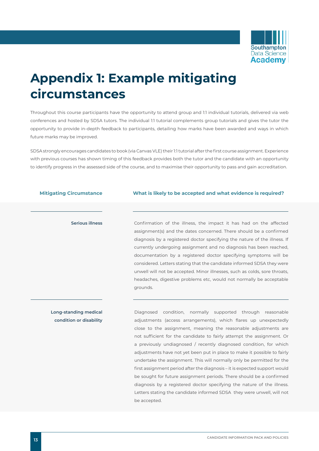

# **Appendix 1: Example mitigating circumstances**

Throughout this course participants have the opportunity to attend group and 1:1 individual tutorials, delivered via web conferences and hosted by SDSA tutors. The individual 1:1 tutorial complements group tutorials and gives the tutor the opportunity to provide in-depth feedback to participants, detailing how marks have been awarded and ways in which future marks may be improved.

SDSA strongly encourages candidates to book (via Canvas VLE) their 1:1 tutorial after the first course assignment. Experience with previous courses has shown timing of this feedback provides both the tutor and the candidate with an opportunity to identify progress in the assessed side of the course, and to maximise their opportunity to pass and gain accreditation.

| What is likely to be accepted and what evidence is required?                                                                                                                                                                                                                                                                                                                                                                                                                                                                                                                                               |
|------------------------------------------------------------------------------------------------------------------------------------------------------------------------------------------------------------------------------------------------------------------------------------------------------------------------------------------------------------------------------------------------------------------------------------------------------------------------------------------------------------------------------------------------------------------------------------------------------------|
|                                                                                                                                                                                                                                                                                                                                                                                                                                                                                                                                                                                                            |
| Confirmation of the illness, the impact it has had on the affected<br>assignment(s) and the dates concerned. There should be a confirmed<br>diagnosis by a registered doctor specifying the nature of the illness. If<br>currently undergoing assignment and no diagnosis has been reached,<br>documentation by a registered doctor specifying symptoms will be<br>considered. Letters stating that the candidate informed SDSA they were<br>unwell will not be accepted. Minor illnesses, such as colds, sore throats,<br>headaches, digestive problems etc, would not normally be acceptable<br>grounds. |
|                                                                                                                                                                                                                                                                                                                                                                                                                                                                                                                                                                                                            |
| Diagnosed condition, normally supported through reasonable                                                                                                                                                                                                                                                                                                                                                                                                                                                                                                                                                 |
| adjustments (access arrangements), which flares up unexpectedly                                                                                                                                                                                                                                                                                                                                                                                                                                                                                                                                            |
| close to the assignment, meaning the reasonable adjustments are                                                                                                                                                                                                                                                                                                                                                                                                                                                                                                                                            |
| not sufficient for the candidate to fairly attempt the assignment. Or                                                                                                                                                                                                                                                                                                                                                                                                                                                                                                                                      |
|                                                                                                                                                                                                                                                                                                                                                                                                                                                                                                                                                                                                            |
| a previously undiagnosed / recently diagnosed condition, for which                                                                                                                                                                                                                                                                                                                                                                                                                                                                                                                                         |
| adjustments have not yet been put in place to make it possible to fairly                                                                                                                                                                                                                                                                                                                                                                                                                                                                                                                                   |
| undertake the assignment. This will normally only be permitted for the                                                                                                                                                                                                                                                                                                                                                                                                                                                                                                                                     |
| first assignment period after the diagnosis – it is expected support would                                                                                                                                                                                                                                                                                                                                                                                                                                                                                                                                 |
| be sought for future assignment periods. There should be a confirmed                                                                                                                                                                                                                                                                                                                                                                                                                                                                                                                                       |
| diagnosis by a registered doctor specifying the nature of the illness.                                                                                                                                                                                                                                                                                                                                                                                                                                                                                                                                     |
|                                                                                                                                                                                                                                                                                                                                                                                                                                                                                                                                                                                                            |

be accepted.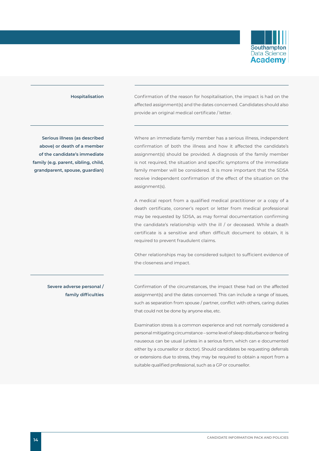

**Serious illness (as described above) or death of a member of the candidate's immediate family (e.g. parent, sibling, child, grandparent, spouse, guardian)**

**Hospitalisation** Confirmation of the reason for hospitalisation, the impact is had on the affected assignment(s) and the dates concerned. Candidates should also provide an original medical certificate / letter.

> Where an immediate family member has a serious illness, independent confirmation of both the illness and how it affected the candidate's assignment(s) should be provided. A diagnosis of the family member is not required, the situation and specific symptoms of the immediate family member will be considered. It is more important that the SDSA receive independent confirmation of the effect of the situation on the assignment(s).

> A medical report from a qualified medical practitioner or a copy of a death certificate, coroner's report or letter from medical professional may be requested by SDSA, as may formal documentation confirming the candidate's relationship with the ill / or deceased. While a death certificate is a sensitive and often difficult document to obtain, it is required to prevent fraudulent claims.

> Other relationships may be considered subject to sufficient evidence of the closeness and impact.

**Severe adverse personal / family difficulties** Confirmation of the circumstances, the impact these had on the affected assignment(s) and the dates concerned. This can include a range of issues, such as separation from spouse / partner, conflict with others, caring duties that could not be done by anyone else, etc.

Examination stress is a common experience and not normally considered a personal mitigating circumstance – some level of sleep disturbance or feeling nauseous can be usual (unless in a serious form, which can e documented either by a counsellor or doctor). Should candidates be requesting deferrals or extensions due to stress, they may be required to obtain a report from a suitable qualified professional, such as a GP or counsellor.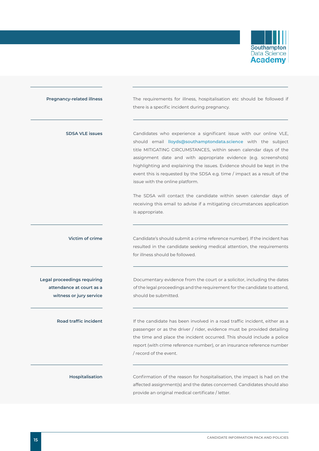

| <b>Pregnancy-related illness</b>                                                   | The requirements for illness, hospitalisation etc should be followed if<br>there is a specific incident during pregnancy.                                                                                                                                                                                                                                                                                                                                             |
|------------------------------------------------------------------------------------|-----------------------------------------------------------------------------------------------------------------------------------------------------------------------------------------------------------------------------------------------------------------------------------------------------------------------------------------------------------------------------------------------------------------------------------------------------------------------|
| <b>SDSA VLE issues</b>                                                             | Candidates who experience a significant issue with our online VLE,<br>should email lloyds@southamptondata.science with the subject<br>title MITIGATING CIRCUMSTANCES, within seven calendar days of the<br>assignment date and with appropriate evidence (e.g. screenshots)<br>highlighting and explaining the issues. Evidence should be kept in the<br>event this is requested by the SDSA e.g. time / impact as a result of the<br>issue with the online platform. |
|                                                                                    | The SDSA will contact the candidate within seven calendar days of<br>receiving this email to advise if a mitigating circumstances application<br>is appropriate.                                                                                                                                                                                                                                                                                                      |
| Victim of crime                                                                    | Candidate's should submit a crime reference number). If the incident has<br>resulted in the candidate seeking medical attention, the requirements<br>for illness should be followed.                                                                                                                                                                                                                                                                                  |
| Legal proceedings requiring<br>attendance at court as a<br>witness or jury service | Documentary evidence from the court or a solicitor, including the dates<br>of the legal proceedings and the requirement for the candidate to attend,<br>should be submitted.                                                                                                                                                                                                                                                                                          |
| <b>Road traffic incident</b>                                                       | If the candidate has been involved in a road traffic incident, either as a<br>passenger or as the driver / rider, evidence must be provided detailing<br>the time and place the incident occurred. This should include a police<br>report (with crime reference number), or an insurance reference number<br>/ record of the event.                                                                                                                                   |
| Hospitalisation                                                                    | Confirmation of the reason for hospitalisation, the impact is had on the<br>affected assignment(s) and the dates concerned. Candidates should also<br>provide an original medical certificate / letter.                                                                                                                                                                                                                                                               |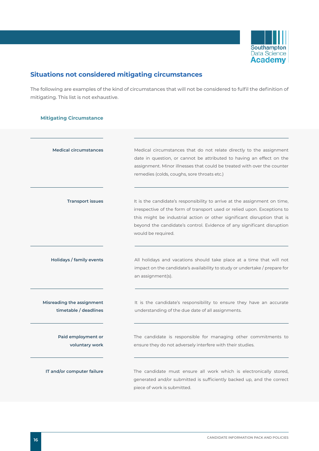

### **Situations not considered mitigating circumstances**

The following are examples of the kind of circumstances that will not be considered to fulfil the definition of mitigating. This list is not exhaustive.

#### **Mitigating Circumstance**

| <b>Medical circumstances</b>                       | Medical circumstances that do not relate directly to the assignment<br>date in question, or cannot be attributed to having an effect on the<br>assignment. Minor illnesses that could be treated with over the counter<br>remedies (colds, coughs, sore throats etc.)                                                            |
|----------------------------------------------------|----------------------------------------------------------------------------------------------------------------------------------------------------------------------------------------------------------------------------------------------------------------------------------------------------------------------------------|
| <b>Transport issues</b>                            | It is the candidate's responsibility to arrive at the assignment on time,<br>irrespective of the form of transport used or relied upon. Exceptions to<br>this might be industrial action or other significant disruption that is<br>beyond the candidate's control. Evidence of any significant disruption<br>would be required. |
| Holidays / family events                           | All holidays and vacations should take place at a time that will not<br>impact on the candidate's availability to study or undertake / prepare for<br>an assignment(s).                                                                                                                                                          |
| Misreading the assignment<br>timetable / deadlines | It is the candidate's responsibility to ensure they have an accurate<br>understanding of the due date of all assignments.                                                                                                                                                                                                        |
| Paid employment or<br>voluntary work               | The candidate is responsible for managing other commitments to<br>ensure they do not adversely interfere with their studies.                                                                                                                                                                                                     |
| IT and/or computer failure                         | The candidate must ensure all work which is electronically stored,<br>generated and/or submitted is sufficiently backed up, and the correct<br>piece of work is submitted.                                                                                                                                                       |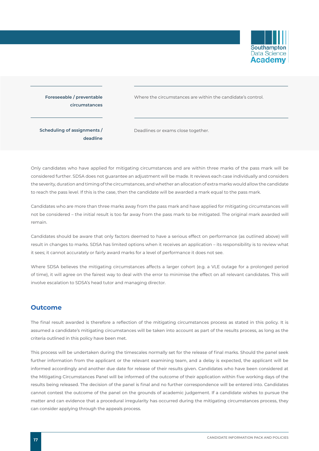

### **Foreseeable / preventable circumstances**

Where the circumstances are within the candidate's control.

**Scheduling of assignments / deadline** Deadlines or exams close together.

Only candidates who have applied for mitigating circumstances and are within three marks of the pass mark will be considered further. SDSA does not guarantee an adjustment will be made. It reviews each case individually and considers the severity, duration and timing of the circumstances, and whether an allocation of extra marks would allow the candidate to reach the pass level. If this is the case, then the candidate will be awarded a mark equal to the pass mark.

Candidates who are more than three marks away from the pass mark and have applied for mitigating circumstances will not be considered – the initial result is too far away from the pass mark to be mitigated. The original mark awarded will remain.

Candidates should be aware that only factors deemed to have a serious effect on performance (as outlined above) will result in changes to marks. SDSA has limited options when it receives an application – its responsibility is to review what it sees; it cannot accurately or fairly award marks for a level of performance it does not see.

Where SDSA believes the mitigating circumstances affects a larger cohort (e.g. a VLE outage for a prolonged period of time), it will agree on the fairest way to deal with the error to minimise the effect on all relevant candidates. This will involve escalation to SDSA's head tutor and managing director.

#### **Outcome**

The final result awarded is therefore a reflection of the mitigating circumstances process as stated in this policy. It is assumed a candidate's mitigating circumstances will be taken into account as part of the results process, as long as the criteria outlined in this policy have been met.

This process will be undertaken during the timescales normally set for the release of final marks. Should the panel seek further information from the applicant or the relevant examining team, and a delay is expected, the applicant will be informed accordingly and another due date for release of their results given. Candidates who have been considered at the Mitigating Circumstances Panel will be informed of the outcome of their application within five working days of the results being released. The decision of the panel is final and no further correspondence will be entered into. Candidates cannot contest the outcome of the panel on the grounds of academic judgement. If a candidate wishes to pursue the matter and can evidence that a procedural irregularity has occurred during the mitigating circumstances process, they can consider applying through the appeals process.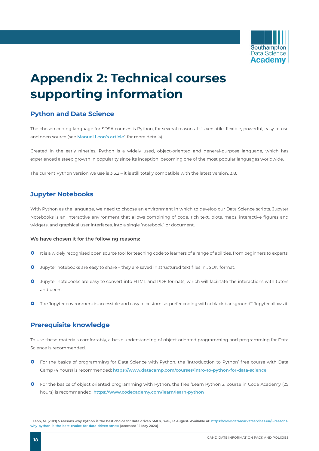

# **Appendix 2: Technical courses supporting information**

### **Python and Data Science**

The chosen coding language for SDSA courses is Python, for several reasons. It is versatile, flexible, powerful, easy to use and open source (see **[Manuel Leon's article](https://www.datamarketservices.eu/5-reasons-why-python-is-the-best-choice-for-data-driven-smes/)**1 for more details).

Created in the early nineties, Python is a widely used, object-oriented and general-purpose language, which has experienced a steep growth in popularity since its inception, becoming one of the most popular languages worldwide.

The current Python version we use is 3.5.2 – it is still totally compatible with the latest version, 3.8.

#### **Jupyter Notebooks**

With Python as the language, we need to choose an environment in which to develop our Data Science scripts. Jupyter Notebooks is an interactive environment that allows combining of code, rich text, plots, maps, interactive figures and widgets, and graphical user interfaces, into a single 'notebook', or document.

#### **We have chosen it for the following reasons:**

- **O** It is a widely recognised open source tool for teaching code to learners of a range of abilities, from beginners to experts.
- **O** Jupyter notebooks are easy to share they are saved in structured text files in JSON format.
- <sup>O</sup> Jupyter notebooks are easy to convert into HTML and PDF formats, which will facilitate the interactions with tutors and peers.
- **O** The Jupyter environment is accessible and easy to customise: prefer coding with a black background? Jupyter allows it.

#### **Prerequisite knowledge**

To use these materials comfortably, a basic understanding of object oriented programming and programming for Data Science is recommended.

- **O** For the basics of programming for Data Science with Python, the 'Introduction to Python' free course with Data Camp (4 hours) is recommended: **<https://www.datacamp.com/courses/intro-to-python-for-data-science>**
- **O** For the basics of object oriented programming with Python, the free 'Learn Python 2' course in Code Academy (25 hours) is recommended: **[https://www.codecademy.com/learn/learn-python](https://www.codecademy.com/learn/learn-python
)**

**<sup>1</sup> Leon, M. (2019) 5 reasons why Python is the best choice for data driven SMEs,** *DMS***, 13 August. Available at: [https://www.datamarketservices.eu/5-reasons](https://www.datamarketservices.eu/5-reasons-why-python-is-the-best-choice-for-data-driven-smes/)[why-python-is-the-best-choice-for-data-driven-smes/](https://www.datamarketservices.eu/5-reasons-why-python-is-the-best-choice-for-data-driven-smes/) [accessed 12 May 2020]**